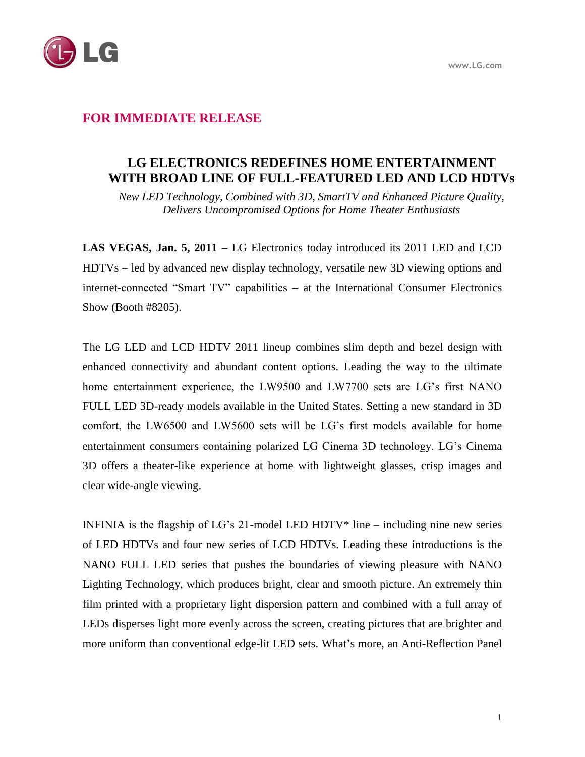



## **FOR IMMEDIATE RELEASE**

# **LG ELECTRONICS REDEFINES HOME ENTERTAINMENT WITH BROAD LINE OF FULL-FEATURED LED AND LCD HDTVs**

*New LED Technology, Combined with 3D, SmartTV and Enhanced Picture Quality, Delivers Uncompromised Options for Home Theater Enthusiasts*

**LAS VEGAS, Jan. 5, 2011 –** LG Electronics today introduced its 2011 LED and LCD HDTVs – led by advanced new display technology, versatile new 3D viewing options and internet-connected "Smart TV" capabilities **–** at the International Consumer Electronics Show (Booth #8205).

The LG LED and LCD HDTV 2011 lineup combines slim depth and bezel design with enhanced connectivity and abundant content options. Leading the way to the ultimate home entertainment experience, the LW9500 and LW7700 sets are LG's first NANO FULL LED 3D-ready models available in the United States. Setting a new standard in 3D comfort, the LW6500 and LW5600 sets will be LG's first models available for home entertainment consumers containing polarized LG Cinema 3D technology. LG's Cinema 3D offers a theater-like experience at home with lightweight glasses, crisp images and clear wide-angle viewing.

INFINIA is the flagship of LG's 21-model LED HDTV\* line – including nine new series of LED HDTVs and four new series of LCD HDTVs. Leading these introductions is the NANO FULL LED series that pushes the boundaries of viewing pleasure with NANO Lighting Technology, which produces bright, clear and smooth picture. An extremely thin film printed with a proprietary light dispersion pattern and combined with a full array of LEDs disperses light more evenly across the screen, creating pictures that are brighter and more uniform than conventional edge-lit LED sets. What's more, an Anti-Reflection Panel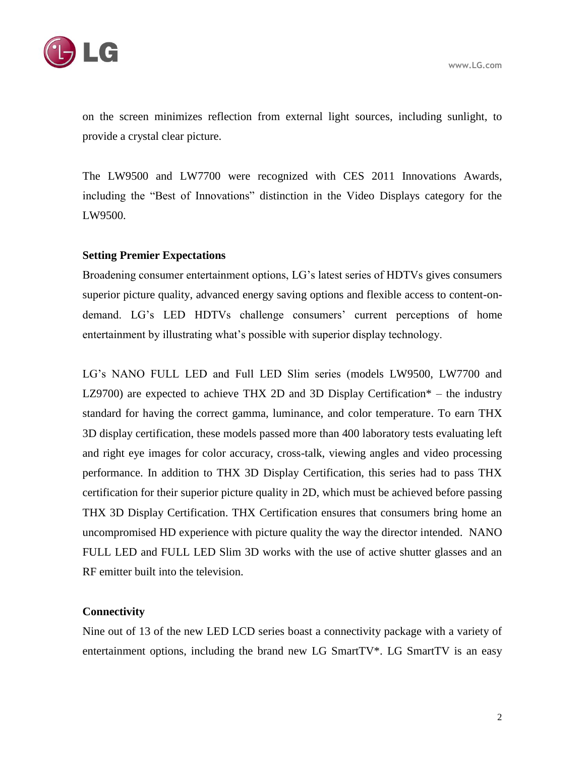

on the screen minimizes reflection from external light sources, including sunlight, to provide a crystal clear picture.

The LW9500 and LW7700 were recognized with CES 2011 Innovations Awards, including the "Best of Innovations" distinction in the Video Displays category for the LW9500.

## **Setting Premier Expectations**

Broadening consumer entertainment options, LG's latest series of HDTVs gives consumers superior picture quality, advanced energy saving options and flexible access to content-ondemand. LG's LED HDTVs challenge consumers' current perceptions of home entertainment by illustrating what's possible with superior display technology.

LG's NANO FULL LED and Full LED Slim series (models LW9500, LW7700 and LZ9700) are expected to achieve THX 2D and 3D Display Certification\* – the industry standard for having the correct gamma, luminance, and color temperature. To earn THX 3D display certification, these models passed more than 400 laboratory tests evaluating left and right eye images for color accuracy, cross-talk, viewing angles and video processing performance. In addition to THX 3D Display Certification, this series had to pass THX certification for their superior picture quality in 2D, which must be achieved before passing THX 3D Display Certification. THX Certification ensures that consumers bring home an uncompromised HD experience with picture quality the way the director intended. NANO FULL LED and FULL LED Slim 3D works with the use of active shutter glasses and an RF emitter built into the television.

## **Connectivity**

Nine out of 13 of the new LED LCD series boast a connectivity package with a variety of entertainment options, including the brand new LG SmartTV\*. LG SmartTV is an easy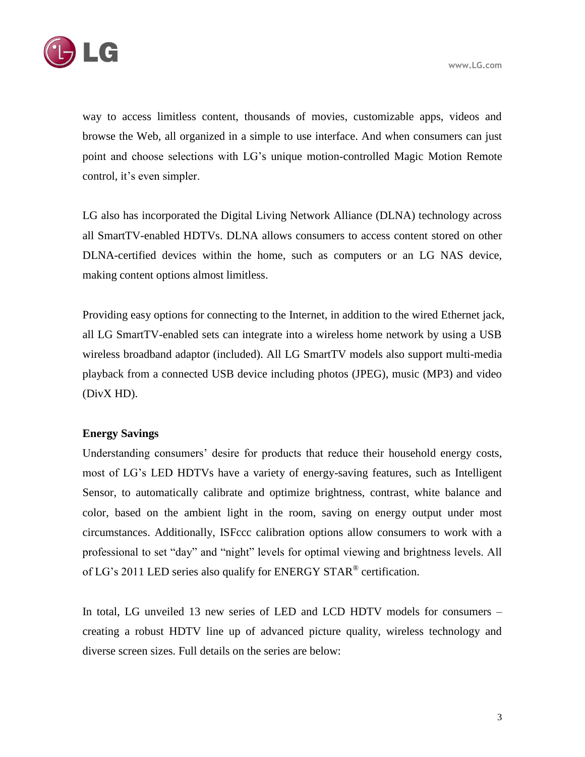

way to access limitless content, thousands of movies, customizable apps, videos and browse the Web, all organized in a simple to use interface. And when consumers can just point and choose selections with LG's unique motion-controlled Magic Motion Remote control, it's even simpler.

LG also has incorporated the Digital Living Network Alliance (DLNA) technology across all SmartTV-enabled HDTVs. DLNA allows consumers to access content stored on other DLNA-certified devices within the home, such as computers or an LG NAS device, making content options almost limitless.

Providing easy options for connecting to the Internet, in addition to the wired Ethernet jack, all LG SmartTV-enabled sets can integrate into a wireless home network by using a USB wireless broadband adaptor (included). All LG SmartTV models also support multi-media playback from a connected USB device including photos (JPEG), music (MP3) and video (DivX HD).

### **Energy Savings**

Understanding consumers' desire for products that reduce their household energy costs, most of LG's LED HDTVs have a variety of energy-saving features, such as Intelligent Sensor, to automatically calibrate and optimize brightness, contrast, white balance and color, based on the ambient light in the room, saving on energy output under most circumstances. Additionally, ISFccc calibration options allow consumers to work with a professional to set "day" and "night" levels for optimal viewing and brightness levels. All of LG's 2011 LED series also qualify for ENERGY STAR® certification.

In total, LG unveiled 13 new series of LED and LCD HDTV models for consumers – creating a robust HDTV line up of advanced picture quality, wireless technology and diverse screen sizes. Full details on the series are below: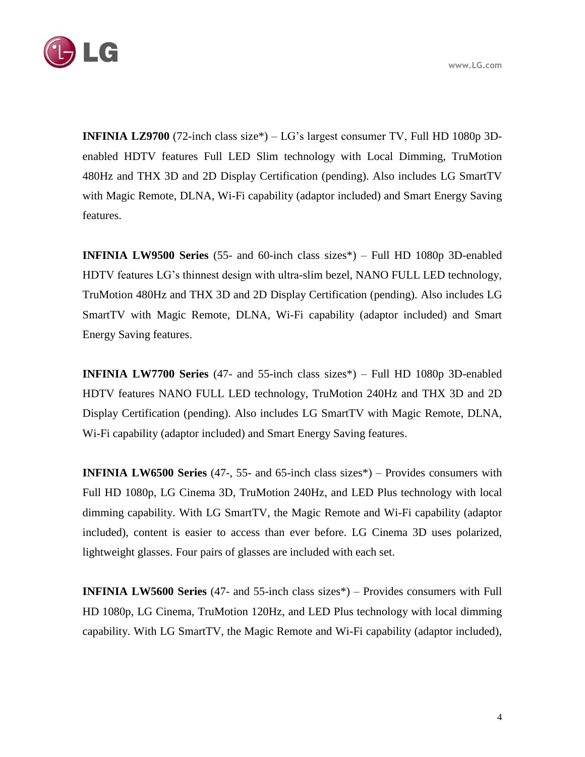

**INFINIA LZ9700** (72-inch class size\*) – LG's largest consumer TV, Full HD 1080p 3Denabled HDTV features Full LED Slim technology with Local Dimming, TruMotion 480Hz and THX 3D and 2D Display Certification (pending). Also includes LG SmartTV with Magic Remote, DLNA, Wi-Fi capability (adaptor included) and Smart Energy Saving features.

**INFINIA LW9500 Series** (55- and 60-inch class sizes\*) – Full HD 1080p 3D-enabled HDTV features LG's thinnest design with ultra-slim bezel, NANO FULL LED technology, TruMotion 480Hz and THX 3D and 2D Display Certification (pending). Also includes LG SmartTV with Magic Remote, DLNA, Wi-Fi capability (adaptor included) and Smart Energy Saving features.

**INFINIA LW7700 Series** (47- and 55-inch class sizes\*) – Full HD 1080p 3D-enabled HDTV features NANO FULL LED technology, TruMotion 240Hz and THX 3D and 2D Display Certification (pending). Also includes LG SmartTV with Magic Remote, DLNA, Wi-Fi capability (adaptor included) and Smart Energy Saving features.

**INFINIA LW6500 Series** (47-, 55- and 65-inch class sizes\*) – Provides consumers with Full HD 1080p, LG Cinema 3D, TruMotion 240Hz, and LED Plus technology with local dimming capability. With LG SmartTV, the Magic Remote and Wi-Fi capability (adaptor included), content is easier to access than ever before. LG Cinema 3D uses polarized, lightweight glasses. Four pairs of glasses are included with each set.

**INFINIA LW5600 Series** (47- and 55-inch class sizes\*) – Provides consumers with Full HD 1080p, LG Cinema, TruMotion 120Hz, and LED Plus technology with local dimming capability. With LG SmartTV, the Magic Remote and Wi-Fi capability (adaptor included),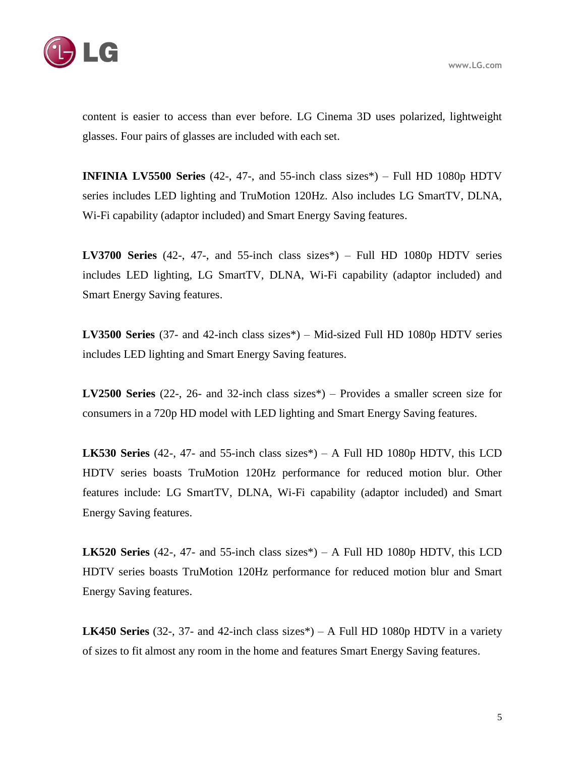

content is easier to access than ever before. LG Cinema 3D uses polarized, lightweight glasses. Four pairs of glasses are included with each set.

**INFINIA LV5500 Series** (42-, 47-, and 55-inch class sizes\*) – Full HD 1080p HDTV series includes LED lighting and TruMotion 120Hz. Also includes LG SmartTV, DLNA, Wi-Fi capability (adaptor included) and Smart Energy Saving features.

**LV3700 Series** (42-, 47-, and 55-inch class sizes\*) – Full HD 1080p HDTV series includes LED lighting, LG SmartTV, DLNA, Wi-Fi capability (adaptor included) and Smart Energy Saving features.

**LV3500 Series** (37- and 42-inch class sizes\*) – Mid-sized Full HD 1080p HDTV series includes LED lighting and Smart Energy Saving features.

**LV2500 Series** (22-, 26- and 32-inch class sizes\*) – Provides a smaller screen size for consumers in a 720p HD model with LED lighting and Smart Energy Saving features.

**LK530 Series** (42-, 47- and 55-inch class sizes\*) – A Full HD 1080p HDTV, this LCD HDTV series boasts TruMotion 120Hz performance for reduced motion blur. Other features include: LG SmartTV, DLNA, Wi-Fi capability (adaptor included) and Smart Energy Saving features.

**LK520 Series** (42-, 47- and 55-inch class sizes\*) – A Full HD 1080p HDTV, this LCD HDTV series boasts TruMotion 120Hz performance for reduced motion blur and Smart Energy Saving features.

**LK450 Series** (32-, 37- and 42-inch class sizes\*) – A Full HD 1080p HDTV in a variety of sizes to fit almost any room in the home and features Smart Energy Saving features.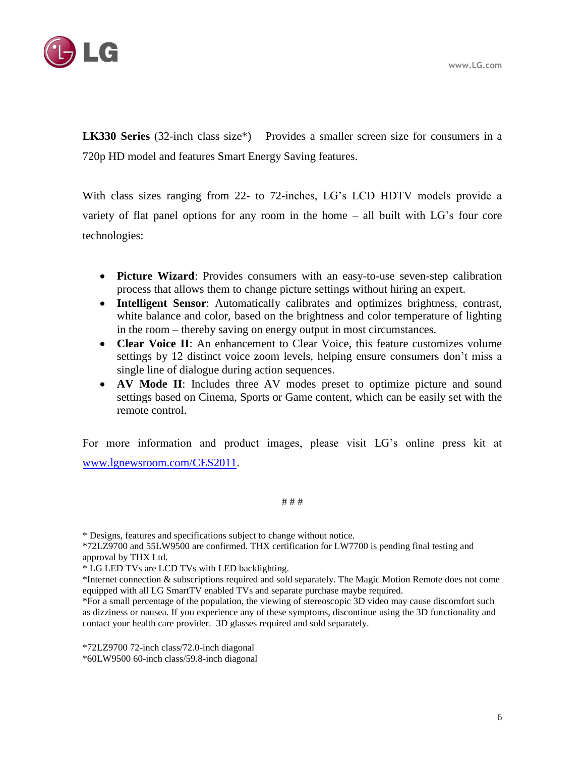

**LK330 Series** (32-inch class size\*) – Provides a smaller screen size for consumers in a 720p HD model and features Smart Energy Saving features.

With class sizes ranging from 22- to 72-inches, LG's LCD HDTV models provide a variety of flat panel options for any room in the home – all built with LG's four core technologies:

- **Picture Wizard**: Provides consumers with an easy-to-use seven-step calibration process that allows them to change picture settings without hiring an expert.
- **Intelligent Sensor**: Automatically calibrates and optimizes brightness, contrast, white balance and color, based on the brightness and color temperature of lighting in the room – thereby saving on energy output in most circumstances.
- **Clear Voice II**: An enhancement to Clear Voice, this feature customizes volume settings by 12 distinct voice zoom levels, helping ensure consumers don't miss a single line of dialogue during action sequences.
- **AV Mode II**: Includes three AV modes preset to optimize picture and sound settings based on Cinema, Sports or Game content, which can be easily set with the remote control.

For more information and product images, please visit LG's online press kit at [www.lgnewsroom.com/CES2011.](http://www.lgnewsroom.com/CES2011)

# # #

\* Designs, features and specifications subject to change without notice.

\*72LZ9700 and 55LW9500 are confirmed. THX certification for LW7700 is pending final testing and approval by THX Ltd.

\* LG LED TVs are LCD TVs with LED backlighting.

\*Internet connection & subscriptions required and sold separately. The Magic Motion Remote does not come equipped with all LG SmartTV enabled TVs and separate purchase maybe required.

\*For a small percentage of the population, the viewing of stereoscopic 3D video may cause discomfort such as dizziness or nausea. If you experience any of these symptoms, discontinue using the 3D functionality and contact your health care provider. 3D glasses required and sold separately.

\*72LZ9700 72-inch class/72.0-inch diagonal \*60LW9500 60-inch class/59.8-inch diagonal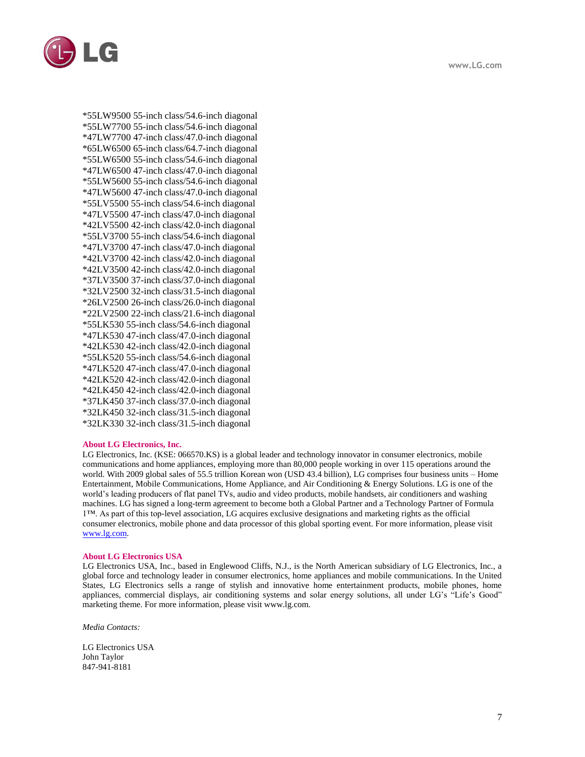



\*55LW9500 55-inch class/54.6-inch diagonal \*55LW7700 55-inch class/54.6-inch diagonal \*47LW7700 47-inch class/47.0-inch diagonal \*65LW6500 65-inch class/64.7-inch diagonal \*55LW6500 55-inch class/54.6-inch diagonal \*47LW6500 47-inch class/47.0-inch diagonal \*55LW5600 55-inch class/54.6-inch diagonal \*47LW5600 47-inch class/47.0-inch diagonal \*55LV5500 55-inch class/54.6-inch diagonal \*47LV5500 47-inch class/47.0-inch diagonal \*42LV5500 42-inch class/42.0-inch diagonal \*55LV3700 55-inch class/54.6-inch diagonal \*47LV3700 47-inch class/47.0-inch diagonal \*42LV3700 42-inch class/42.0-inch diagonal \*42LV3500 42-inch class/42.0-inch diagonal \*37LV3500 37-inch class/37.0-inch diagonal \*32LV2500 32-inch class/31.5-inch diagonal \*26LV2500 26-inch class/26.0-inch diagonal \*22LV2500 22-inch class/21.6-inch diagonal \*55LK530 55-inch class/54.6-inch diagonal \*47LK530 47-inch class/47.0-inch diagonal \*42LK530 42-inch class/42.0-inch diagonal \*55LK520 55-inch class/54.6-inch diagonal \*47LK520 47-inch class/47.0-inch diagonal \*42LK520 42-inch class/42.0-inch diagonal \*42LK450 42-inch class/42.0-inch diagonal \*37LK450 37-inch class/37.0-inch diagonal \*32LK450 32-inch class/31.5-inch diagonal \*32LK330 32-inch class/31.5-inch diagonal

#### **About LG Electronics, Inc.**

LG Electronics, Inc. (KSE: 066570.KS) is a global leader and technology innovator in consumer electronics, mobile communications and home appliances, employing more than 80,000 people working in over 115 operations around the world. With 2009 global sales of 55.5 trillion Korean won (USD 43.4 billion), LG comprises four business units – Home Entertainment, Mobile Communications, Home Appliance, and Air Conditioning & Energy Solutions. LG is one of the world's leading producers of flat panel TVs, audio and video products, mobile handsets, air conditioners and washing machines. LG has signed a long-term agreement to become both a Global Partner and a Technology Partner of Formula 1™. As part of this top-level association, LG acquires exclusive designations and marketing rights as the official consumer electronics, mobile phone and data processor of this global sporting event. For more information, please visit [www.lg.com.](http://www.lg.com/)

#### **About LG Electronics USA**

LG Electronics USA, Inc., based in Englewood Cliffs, N.J., is the North American subsidiary of LG Electronics, Inc., a global force and technology leader in consumer electronics, home appliances and mobile communications. In the United States, LG Electronics sells a range of stylish and innovative home entertainment products, mobile phones, home appliances, commercial displays, air conditioning systems and solar energy solutions, all under LG's "Life's Good" marketing theme. For more information, please visit www.lg.com.

*Media Contacts:* 

LG Electronics USA John Taylor 847-941-8181